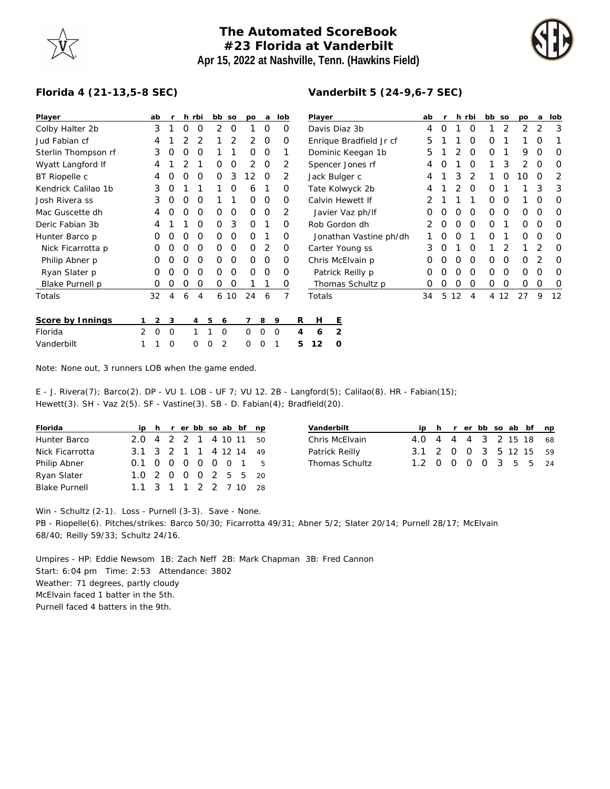## **The Automated ScoreBook #23 Florida at Vanderbilt Apr 15, 2022 at Nashville, Tenn. (Hawkins Field)**



## **Florida 4 (21-13,5-8 SEC)**

| Player              | ab     | r              | h                | rbi            | bb so    |    | po       | a              | lob |   | Player                  |   |                  |  | ab |          |    | h rbi    | bb so       |    | po | a              | lob      |
|---------------------|--------|----------------|------------------|----------------|----------|----|----------|----------------|-----|---|-------------------------|---|------------------|--|----|----------|----|----------|-------------|----|----|----------------|----------|
| Colby Halter 2b     | 3      |                | 0                | $\Omega$       | 2        | 0  |          | $\Omega$       | O   |   | Davis Diaz 3b           |   |                  |  | 4  | $\Omega$ |    | $\Omega$ |             | 2  | 2  | $\overline{2}$ | 3        |
| Jud Fabian cf       | 4      |                |                  | 2              |          | 2  | 2        | $\Omega$       | O   |   | Enrique Bradfield Jr cf |   |                  |  | 5  |          |    | $\Omega$ | 0           |    |    | O              |          |
| Sterlin Thompson rf | 3      | 0              | O                | $\Omega$       |          | 1  | $\Omega$ | $\overline{0}$ |     |   | Dominic Keegan 1b       |   |                  |  | 5  |          | 2  | 0        | $\mathbf 0$ | 1  | 9  | O              | 0        |
| Wyatt Langford If   | 4      |                |                  |                | 0        | 0  | 2        | 0              | 2   |   | Spencer Jones rf        |   |                  |  | 4  | O        |    | $\Omega$ |             | 3  | 2  | O              | 0        |
| BT Riopelle c       | 4      | O              | ∩                | $\Omega$       | 0        | 3  | 12       | $\Omega$       | 2   |   | Jack Bulger c           |   |                  |  | 4  |          | 3  | 2        |             | O  | 10 | $\Omega$       | 2        |
| Kendrick Calilao 1b | 3      | O              |                  |                |          | 0  | 6        |                | 0   |   | Tate Kolwyck 2b         |   |                  |  | 4  |          |    | $\Omega$ | 0           |    |    | 3              | 3        |
| Josh Rivera ss      | 3      |                |                  | O              |          |    | 0        | $\Omega$       | 0   |   | Calvin Hewett If        |   |                  |  |    |          |    |          | Ο           | O  |    | O              | O        |
| Mac Guscette dh     | 4      |                |                  | O              | Ο        | 0  | $\Omega$ | 0              | 2   |   | Javier Vaz ph/lf        |   |                  |  | O  |          | O  | O        | 0           | 0  | 0  | 0              | $\Omega$ |
| Deric Fabian 3b     | 4      |                |                  | $\Omega$       | $\Omega$ | 3  | $\Omega$ |                | 0   |   | Rob Gordon dh           |   |                  |  | 2  | O        | O  | $\Omega$ | $\Omega$    |    | 0  | $\Omega$       | $\Omega$ |
| Hunter Barco p      | O      | O              | $\left($         | $\Omega$       | 0        | 0  | $\Omega$ |                | O   |   | Jonathan Vastine ph/dh  |   |                  |  |    |          | O  |          | $\Omega$    |    | 0  | O              | $\Omega$ |
| Nick Ficarrotta p   | 0      | O              | $\left($         | O              | 0        | 0  | $\Omega$ | 2              | 0   |   |                         |   | Carter Young ss  |  | 3  | 0        |    | O        |             | 2  |    |                | 0        |
| Philip Abner p      | 0      | $\Omega$       | $\Omega$         | $\Omega$       | 0        | 0  | 0        | 0              | 0   |   | Chris McElvain p        |   |                  |  | 0  |          | O  | $\Omega$ | 0           | 0  | 0  | 2              | $\Omega$ |
| Ryan Slater p       | O      | $\overline{O}$ | $\left( \right)$ | O              | 0        | 0  | $\Omega$ | $\Omega$       | O   |   | Patrick Reilly p        |   |                  |  | O  |          | O  | $\Omega$ | $\Omega$    | 0  | 0  | $\Omega$       | $\Omega$ |
| Blake Purnell p     | O      |                |                  | O              | 0        | 0  |          |                | O   |   |                         |   | Thomas Schultz p |  | O  |          | O  | O        | 0           | O  | 0  | O              | 0        |
| Totals              | 32     | 4              | 6                | 4              | 6        | 10 | 24       | 6              | 7   |   | Totals                  |   |                  |  | 34 | 5        | 12 | 4        | 4           | 12 | 27 | 9              | 12       |
| Score by Innings    | 2      | 3              |                  | $\overline{4}$ | 5<br>6   |    |          | 8              | 9   | R | H                       | Ε |                  |  |    |          |    |          |             |    |    |                |          |
| Florida             | 2<br>0 | 0              |                  |                | $\Omega$ |    | 0        | 0              | 0   | 4 | 6                       | 2 |                  |  |    |          |    |          |             |    |    |                |          |
| Vanderbilt          |        | 0              |                  | 0              | 2<br>0   |    | 0        | 0              |     | 5 | 12                      | O |                  |  |    |          |    |          |             |    |    |                |          |

Note: None out, 3 runners LOB when the game ended.

E - J. Rivera(7); Barco(2). DP - VU 1. LOB - UF 7; VU 12. 2B - Langford(5); Calilao(8). HR - Fabian(15); Hewett(3). SH - Vaz 2(5). SF - Vastine(3). SB - D. Fabian(4); Bradfield(20).

| Florida              |  |  |  | ip h r er bb so ab bf np |  |
|----------------------|--|--|--|--------------------------|--|
| Hunter Barco         |  |  |  | 2.0 4 2 2 1 4 10 11 50   |  |
| Nick Ficarrotta      |  |  |  | 3.1 3 2 1 1 4 12 14 49   |  |
| Philip Abner         |  |  |  | 0.1 0 0 0 0 0 0 1 5      |  |
| Ryan Slater          |  |  |  | 1.0 2 0 0 0 2 5 5 20     |  |
| <b>Blake Purnell</b> |  |  |  | 1.1 3 1 1 2 2 7 10 28    |  |

|  |  |  |  | ip h r er bb so ab bf np<br>4.0 4 4 4 3 2 15 18 68<br>3.1 2 0 0 3 5 12 15 59<br>1.2 0 0 0 0 3 5 5 24 |
|--|--|--|--|------------------------------------------------------------------------------------------------------|

Win - Schultz (2-1). Loss - Purnell (3-3). Save - None.

PB - Riopelle(6). Pitches/strikes: Barco 50/30; Ficarrotta 49/31; Abner 5/2; Slater 20/14; Purnell 28/17; McElvain 68/40; Reilly 59/33; Schultz 24/16.

Umpires - HP: Eddie Newsom 1B: Zach Neff 2B: Mark Chapman 3B: Fred Cannon Start: 6:04 pm Time: 2:53 Attendance: 3802 Weather: 71 degrees, partly cloudy McElvain faced 1 batter in the 5th. Purnell faced 4 batters in the 9th.

## **Vanderbilt 5 (24-9,6-7 SEC)**